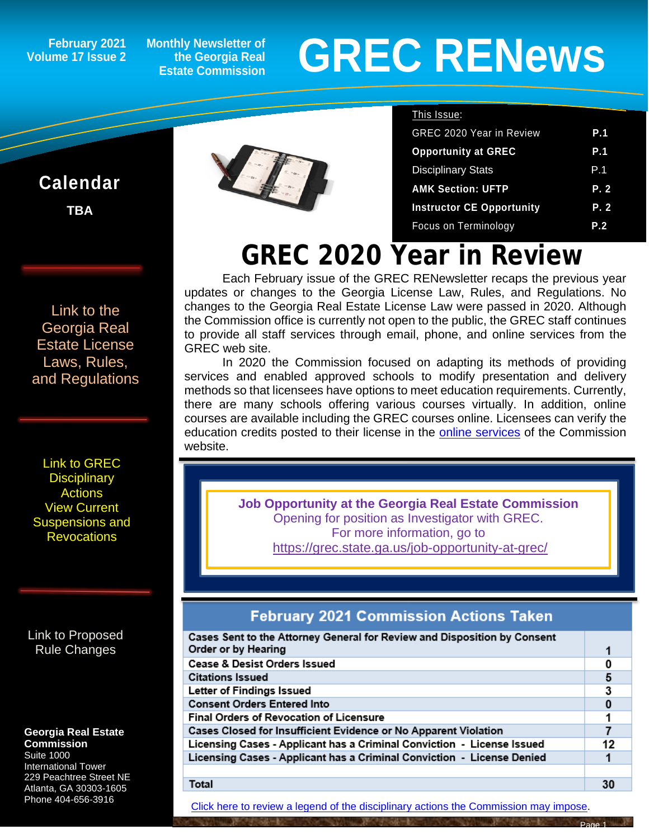**February 2021 Volume 17 Issue 2**

**Monthly Newsletter of the Georgia Real Estate Commission**

# **GREC RENewsGREC RENews**

#### **Calendar TBA**

ĺ

[Link to the](https://grec.state.ga.us/information-research/license-law/)  [Georgia Real](https://grec.state.ga.us/information-research/license-law/)  [Estate License](https://grec.state.ga.us/information-research/license-law/)  [Laws, Rules,](https://grec.state.ga.us/information-research/license-law/)  [and Regulations](https://grec.state.ga.us/information-research/license-law/)

[Link to GREC](http://www.grec.state.ga.us/about/resanctions.html)  **Disciplinary [Actions](http://www.grec.state.ga.us/about/resanctions.html)** View Current [Suspensions and](https://grec.state.ga.us/information-research/disciplinary-actions/real-estate/)  **Revocations** 

[Link to Proposed](https://grec.state.ga.us/information-research/disciplinary-actions/real-estate/)  [Rule Changes](https://grec.state.ga.us/information-research/legislation/real-estate/)

#### **Georgia Real Estate Commission**

Suite 1000 International Tower 229 Peachtree Street NE Atlanta, GA 30303-1605 Phone 404-656-3916



| This Issue:                      |            |
|----------------------------------|------------|
| <b>GREC 2020 Year in Review</b>  | <b>P.1</b> |
| <b>Opportunity at GREC</b>       | P.1        |
| <b>Disciplinary Stats</b>        | P.1        |
| <b>AMK Section: UFTP</b>         | P.2        |
| <b>Instructor CE Opportunity</b> | P.2        |
| Focus on Terminology             | P.2        |
|                                  |            |

## **GREC 2020 Year in Review**

Each February issue of the GREC RENewsletter recaps the previous year updates or changes to the Georgia License Law, Rules, and Regulations. No changes to the Georgia Real Estate License Law were passed in 2020. Although the Commission office is currently not open to the public, the GREC staff continues to provide all staff services through email, phone, and online services from the GREC web site.

In 2020 the Commission focused on adapting its methods of providing services and enabled approved schools to modify presentation and delivery methods so that licensees have options to meet education requirements. Currently, there are many schools offering various courses virtually. In addition, online courses are available including the GREC courses online. Licensees can verify the education credits posted to their license in the [online services](https://ata.grec.state.ga.us/) of the Commission website.

> **Job Opportunity at the Georgia Real Estate Commission** Opening for position as Investigator with GREC. For more information, go to <https://grec.state.ga.us/job-opportunity-at-grec/>

#### **February 2021 Commission Actions Taken**

| Cases Sent to the Attorney General for Review and Disposition by Consent |    |
|--------------------------------------------------------------------------|----|
| Order or by Hearing                                                      |    |
| <b>Cease &amp; Desist Orders Issued</b>                                  |    |
| <b>Citations Issued</b>                                                  | 5  |
| Letter of Findings Issued                                                | 3  |
| <b>Consent Orders Entered Into</b>                                       |    |
| Final Orders of Revocation of Licensure                                  |    |
| Cases Closed for Insufficient Evidence or No Apparent Violation          |    |
| Licensing Cases - Applicant has a Criminal Conviction - License Issued   | 12 |
| Licensing Cases - Applicant has a Criminal Conviction - License Denied   |    |
|                                                                          |    |
| Total                                                                    |    |

Page 1

[Click here to review a legend of the disciplinary actions the Commission may impose.](https://www.jmre.com/grec/GRECDisciplinaryTools.pdf)